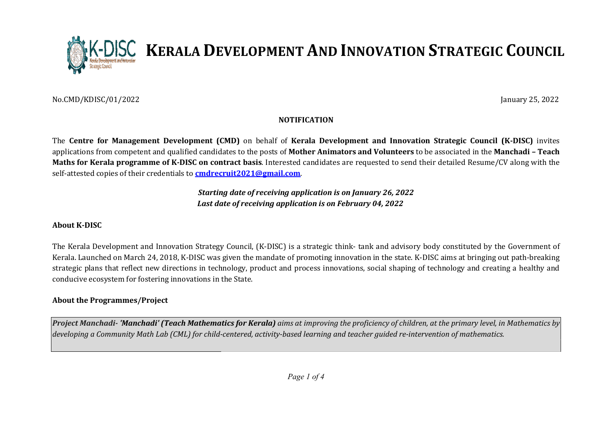

No.CMD/KDISC/01/2022

January 25, 2022

# NOTIFICATION

The Centre for Management Development (CMD) on behalf of Kerala Development and Innovation Strategic Council (K-DISC) invites applications from competent and qualified candidates to the posts of **Mother Animators and Volunteers** to be associated in the **Manchadi - Teach** Maths for Kerala programme of K-DISC on contract basis. Interested candidates are requested to send their detailed Resume/CV along with the self-attested copies of their credentials to **<u>cmdrecruit2021@gmail.com</u>**.

> Starting date of receiving application is on January 26, 2022 Last date of receiving application is on February 04, 2022

#### About K-DISC

The Kerala Development and Innovation Strategy Council, (K-DISC) is a strategic think- tank and advisory body constituted by the Government of Kerala. Launched on March 24, 2018, K-DISC was given the mandate of promoting innovation in the state. K-DISC aims at bringing out path-breaking strategic plans that reflect new directions in technology, product and process innovations, social shaping of technolog technology and creating a healthy and conducive ecosystem for fostering innovations in the State. **ON STRATEGIC COUNCIL**<br>
January 25, 2022<br>
January 25, 2022<br>
vation Strategic Council (K-DISC) invites<br>
st to be associated in the Manchadi – Teach<br>
and their detailed Resume/CV along with the<br>
22<br>
2<br>
cory body constituted

### About the Programmes/Project

Project Manchadi- 'Manchadi' (Teach Mathematics for Kerala) aims at improving the proficiency of children, at the primary level, in Mathematics by developing a Community Math Lab (CML) for child-centered, activity-based learning and teacher guided re-intervention of mathematics.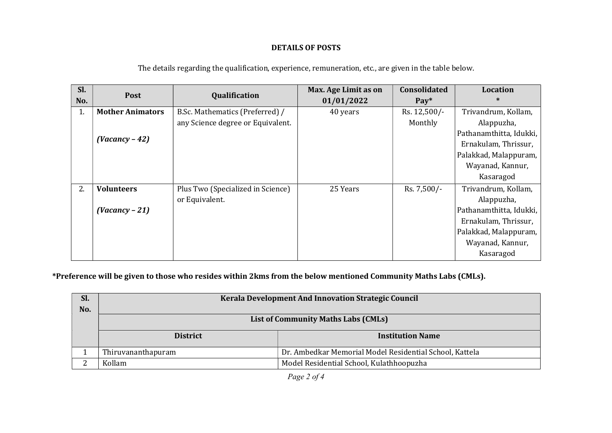# DETAILS OF POSTS

| Sl.<br>No. | <b>Post</b>             | Qualification                     | Max. Age Limit as on<br>01/01/2022 | Consolidated<br>$\bf{Pay*}$ | <b>Location</b><br>$\ast$ |
|------------|-------------------------|-----------------------------------|------------------------------------|-----------------------------|---------------------------|
| 1.         | <b>Mother Animators</b> | B.Sc. Mathematics (Preferred) /   | 40 years                           | Rs. 12,500/-                | Trivandrum, Kollam,       |
|            |                         | any Science degree or Equivalent. |                                    | Monthly                     | Alappuzha,                |
|            | $(Vacancy - 42)$        |                                   |                                    |                             | Pathanamthitta, Idukki,   |
|            |                         |                                   |                                    |                             | Ernakulam, Thrissur,      |
|            |                         |                                   |                                    |                             | Palakkad, Malappuram,     |
|            |                         |                                   |                                    |                             | Wayanad, Kannur,          |
|            |                         |                                   |                                    |                             | Kasaragod                 |
| 2.         | <b>Volunteers</b>       | Plus Two (Specialized in Science) | 25 Years                           | Rs. 7,500/-                 | Trivandrum, Kollam,       |
|            |                         | or Equivalent.                    |                                    |                             | Alappuzha,                |
|            | $(Vacancy - 21)$        |                                   |                                    |                             | Pathanamthitta, Idukki,   |
|            |                         |                                   |                                    |                             | Ernakulam, Thrissur,      |
|            |                         |                                   |                                    |                             | Palakkad, Malappuram,     |
|            |                         |                                   |                                    |                             | Wayanad, Kannur,          |
|            |                         |                                   |                                    |                             | Kasaragod                 |

The details regarding the qualification, experience, remuneration, etc., are given in the table below.

\*Preference will be given to those who resides within 2kms from the below mentioned Community Maths Labs (CMLs).

| Sl. | Kerala Development And Innovation Strategic Council |                                                         |  |  |  |
|-----|-----------------------------------------------------|---------------------------------------------------------|--|--|--|
| No. |                                                     |                                                         |  |  |  |
|     | <b>List of Community Maths Labs (CMLs)</b>          |                                                         |  |  |  |
|     | <b>District</b>                                     | <b>Institution Name</b>                                 |  |  |  |
|     | Thiruvananthapuram                                  | Dr. Ambedkar Memorial Model Residential School, Kattela |  |  |  |
| n   | Kollam                                              | Model Residential School, Kulathhoopuzha                |  |  |  |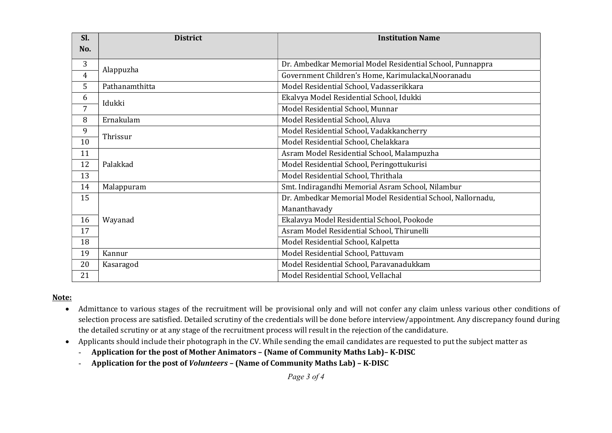| Sl.            | <b>District</b> | <b>Institution Name</b>                                     |  |
|----------------|-----------------|-------------------------------------------------------------|--|
| No.            |                 |                                                             |  |
| 3              |                 | Dr. Ambedkar Memorial Model Residential School, Punnappra   |  |
| $\overline{4}$ | Alappuzha       | Government Children's Home, Karimulackal, Nooranadu         |  |
| 5              | Pathanamthitta  | Model Residential School, Vadasserikkara                    |  |
| 6              | Idukki          | Ekalvya Model Residential School, Idukki                    |  |
| 7              |                 | Model Residential School, Munnar                            |  |
| 8              | Ernakulam       | Model Residential School, Aluva                             |  |
| 9              | Thrissur        | Model Residential School, Vadakkancherry                    |  |
| 10             |                 | Model Residential School, Chelakkara                        |  |
| 11             |                 | Asram Model Residential School, Malampuzha                  |  |
| 12             | Palakkad        | Model Residential School, Peringottukurisi                  |  |
| 13             |                 | Model Residential School, Thrithala                         |  |
| 14             | Malappuram      | Smt. Indiragandhi Memorial Asram School, Nilambur           |  |
| 15             |                 | Dr. Ambedkar Memorial Model Residential School, Nallornadu, |  |
|                |                 | Mananthavady                                                |  |
| 16             | Wayanad         | Ekalavya Model Residential School, Pookode                  |  |
| 17             |                 | Asram Model Residential School, Thirunelli                  |  |
| 18             |                 | Model Residential School, Kalpetta                          |  |
| 19             | Kannur          | Model Residential School, Pattuvam                          |  |
| 20             | Kasaragod       | Model Residential School, Paravanadukkam                    |  |
| 21             |                 | Model Residential School, Vellachal                         |  |

# Note:

- Admittance to various stages of the recruitment will be provisional only and will not confer any claim unless various other conditions of selection process are satisfied. Detailed scrutiny of the credentials will be done before interview/appointment. Any discrepancy found during the detailed scrutiny or at any stage of the recruitment process will result in the rejection of the candidature.
- Applicants should include their photograph in the CV. While sending the email candidates are requested to put the subject matter as
	- Application for the post of Mother Animators (Name of Community Maths Lab)– K-DISC
	- Application for the post of Volunteers (Name of Community Maths Lab) K-DISC